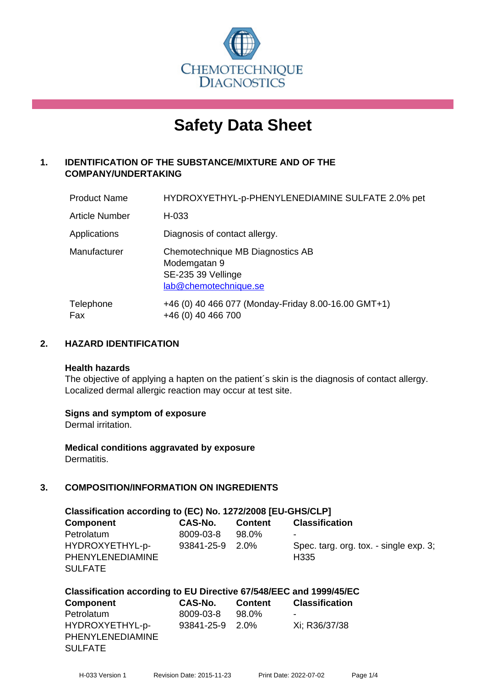

# **Safety Data Sheet**

# **1. IDENTIFICATION OF THE SUBSTANCE/MIXTURE AND OF THE COMPANY/UNDERTAKING**

| <b>Product Name</b>   | HYDROXYETHYL-p-PHENYLENEDIAMINE SULFATE 2.0% pet                                                |
|-----------------------|-------------------------------------------------------------------------------------------------|
| <b>Article Number</b> | H-033                                                                                           |
| Applications          | Diagnosis of contact allergy.                                                                   |
| Manufacturer          | Chemotechnique MB Diagnostics AB<br>Modemgatan 9<br>SE-235 39 Vellinge<br>lab@chemotechnique.se |
| Telephone<br>Fax      | +46 (0) 40 466 077 (Monday-Friday 8.00-16.00 GMT+1)<br>+46 (0) 40 466 700                       |

# **2. HAZARD IDENTIFICATION**

#### **Health hazards**

The objective of applying a hapten on the patient's skin is the diagnosis of contact allergy. Localized dermal allergic reaction may occur at test site.

## **Signs and symptom of exposure**

Dermal irritation.

**Medical conditions aggravated by exposure** Dermatitis.

# **3. COMPOSITION/INFORMATION ON INGREDIENTS**

| Classification according to (EC) No. 1272/2008 [EU-GHS/CLP] |                 |                |                                        |  |  |
|-------------------------------------------------------------|-----------------|----------------|----------------------------------------|--|--|
| <b>Component</b>                                            | CAS-No.         | <b>Content</b> | <b>Classification</b>                  |  |  |
| Petrolatum                                                  | 8009-03-8       | 98.0%          | $\overline{\phantom{a}}$               |  |  |
| HYDROXYETHYL-p-                                             | 93841-25-9 2.0% |                | Spec. targ. org. tox. - single exp. 3; |  |  |
| PHENYLENEDIAMINE                                            |                 |                | H <sub>335</sub>                       |  |  |
| <b>SULFATE</b>                                              |                 |                |                                        |  |  |

# **Classification according to EU Directive 67/548/EEC and 1999/45/EC**

| <b>Component</b>                                      | CAS-No.         | <b>Content</b> | <b>Classification</b>    |
|-------------------------------------------------------|-----------------|----------------|--------------------------|
| Petrolatum                                            | 8009-03-8       | 98.0%          | $\overline{\phantom{0}}$ |
| HYDROXYETHYL-p-<br><b>PHENYLENEDIAMINE</b><br>SULFATE | 93841-25-9 2.0% |                | Xi; R36/37/38            |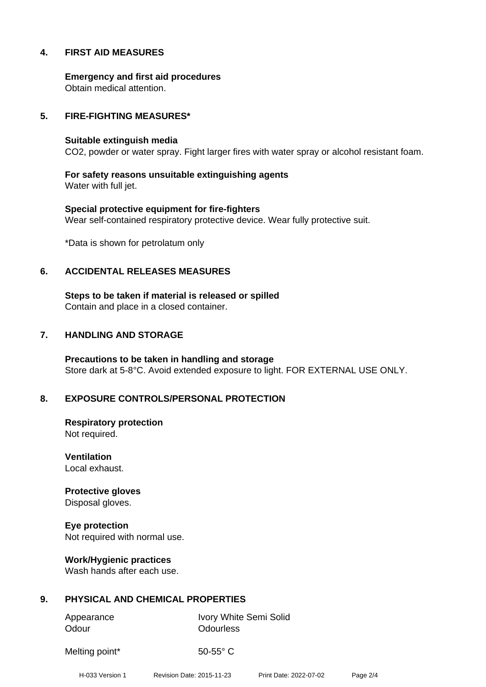## **4. FIRST AID MEASURES**

**Emergency and first aid procedures** Obtain medical attention.

#### **5. FIRE-FIGHTING MEASURES\***

#### **Suitable extinguish media**

CO2, powder or water spray. Fight larger fires with water spray or alcohol resistant foam.

**For safety reasons unsuitable extinguishing agents** Water with full jet.

**Special protective equipment for fire-fighters** Wear self-contained respiratory protective device. Wear fully protective suit.

\*Data is shown for petrolatum only

#### **6. ACCIDENTAL RELEASES MEASURES**

**Steps to be taken if material is released or spilled** Contain and place in a closed container.

#### **7. HANDLING AND STORAGE**

**Precautions to be taken in handling and storage** Store dark at 5-8°C. Avoid extended exposure to light. FOR EXTERNAL USE ONLY.

## **8. EXPOSURE CONTROLS/PERSONAL PROTECTION**

**Respiratory protection** Not required.

**Ventilation** Local exhaust.

**Protective gloves** Disposal gloves.

**Eye protection** Not required with normal use.

**Work/Hygienic practices** Wash hands after each use.

## **9. PHYSICAL AND CHEMICAL PROPERTIES**

Odour **Odourless** 

Appearance Ivory White Semi Solid

Melting point\* 50-55° C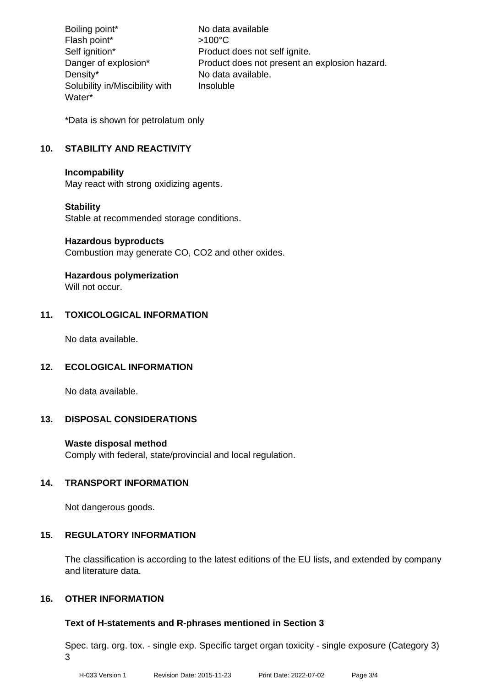Boiling point\* No data available Flash point\* >100°C Self ignition\* Product does not self ignite. Danger of explosion\* Product does not present an explosion hazard. Density\* No data available. Solubility in/Miscibility with Water\* Insoluble

\*Data is shown for petrolatum only

# **10. STABILITY AND REACTIVITY**

#### **Incompability**

May react with strong oxidizing agents.

## **Stability**

Stable at recommended storage conditions.

#### **Hazardous byproducts**

Combustion may generate CO, CO2 and other oxides.

# **Hazardous polymerization**

Will not occur.

## **11. TOXICOLOGICAL INFORMATION**

No data available.

## **12. ECOLOGICAL INFORMATION**

No data available.

## **13. DISPOSAL CONSIDERATIONS**

## **Waste disposal method**

Comply with federal, state/provincial and local regulation.

## **14. TRANSPORT INFORMATION**

Not dangerous goods.

## **15. REGULATORY INFORMATION**

The classification is according to the latest editions of the EU lists, and extended by company and literature data.

## **16. OTHER INFORMATION**

#### **Text of H-statements and R-phrases mentioned in Section 3**

Spec. targ. org. tox. - single exp. Specific target organ toxicity - single exposure (Category 3) 3